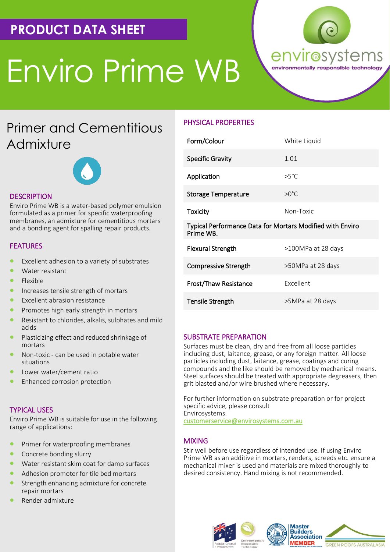# **PRODUCT DATA SHEET**

# Enviro Prime WB



# Primer and Cementitious **Admixture**



## **DESCRIPTION**

Enviro Prime WB is a water-based polymer emulsion formulated as a primer for specific waterproofing membranes, an admixture for cementitious mortars and a bonding agent for spalling repair products.

## FEATURES

- Excellent adhesion to a variety of substrates
- Water resistant
- Flexible
- Increases tensile strength of mortars
- Excellent abrasion resistance
- Promotes high early strength in mortars
- Resistant to chlorides, alkalis, sulphates and mild acids
- Plasticizing effect and reduced shrinkage of mortars
- Non-toxic can be used in potable water situations
- Lower water/cement ratio
- Enhanced corrosion protection

### TYPICAL USES

Enviro Prime WB is suitable for use in the following range of applications:

- Primer for waterproofing membranes
- Concrete bonding slurry
- Water resistant skim coat for damp surfaces
- Adhesion promoter for tile bed mortars
- Strength enhancing admixture for concrete repair mortars
- Render admixture

# PHYSICAL PROPERTIES

| Form/Colour                                                                   | White Liquid       |
|-------------------------------------------------------------------------------|--------------------|
| <b>Specific Gravity</b>                                                       | 1.01               |
| Application                                                                   | $>5^{\circ}$ C     |
| <b>Storage Temperature</b>                                                    | $>0^{\circ}$ C     |
| <b>Toxicity</b>                                                               | Non-Toxic          |
| <b>Typical Performance Data for Mortars Modified with Enviro</b><br>Prime WB. |                    |
| <b>Flexural Strength</b>                                                      | >100MPa at 28 days |
| <b>Compressive Strength</b>                                                   | >50MPa at 28 days  |
| Frost/Thaw Resistance                                                         | <b>Excellent</b>   |
| Tensile Strength                                                              | >5MPa at 28 days   |

#### SUBSTRATE PREPARATION

Surfaces must be clean, dry and free from all loose particles including dust, laitance, grease, or any foreign matter. All loose particles including dust, laitance, grease, coatings and curing compounds and the like should be removed by mechanical means. Steel surfaces should be treated with appropriate degreasers, then grit blasted and/or wire brushed where necessary.

For further information on substrate preparation or for project specific advice, please consult Envirosystems. customerservice@envirosystems.com.au

#### MIXING

Stir well before use regardless of intended use. If using Enviro Prime WB as an additive in mortars, renders, screeds etc. ensure a mechanical mixer is used and materials are mixed thoroughly to desired consistency. Hand mixing is not recommended.

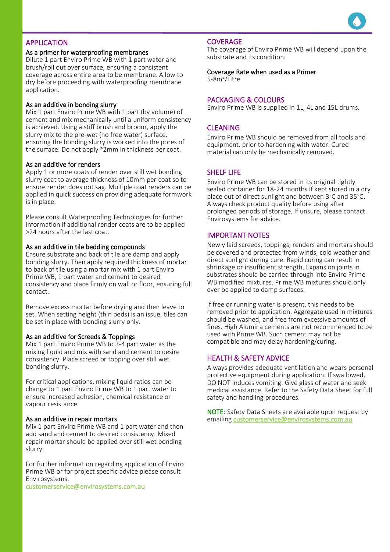

# **APPLICATION**

# As a primer for waterproofing membranes<br>Dilyte 1 neat Engine Direct WD with 1 neat u

Dilute 1 part Enviro Prime WB with 1 part water and brush/roll out over surface, ensuring a consistent coverage across entire area to be membrane. Allow to dry before proceeding with waterproofing membrane application.

#### As an additive in bonding slurry

Mix 1 part Enviro Prime WB with 1 part (by volume) of cement and mix mechanically until a uniform consistency is achieved. Using a stiff brush and broom, apply the slurry mix to the pre-wet (no free water) surface, ensuring the bonding slurry is worked into the pores of the surface. Do not apply <sup>></sup>2mm in thickness per coat.

#### As an additive for renders

Apply 1 or more coats of render over still wet bonding slurry coat to average thickness of 10mm per coat so to ensure render does not sag. Multiple coat renders can be applied in quick succession providing adequate formwork is in place.

Please consult Waterproofing Technologies for further information if additional render coats are to be applied >24 hours after the last coat.

#### As an additive in tile bedding compounds

Ensure substrate and back of tile are damp and apply bonding slurry. Then apply required thickness of mortar to back of tile using a mortar mix with 1 part Enviro Prime WB, 1 part water and cement to desired consistency and place firmly on wall or floor, ensuring full contact.

Remove excess mortar before drying and then leave to set. When setting height (thin beds) is an issue, tiles can be set in place with bonding slurry only.

#### As an additive for Screeds & Toppings

Mix 1 part Enviro Prime WB to 3-4 part water as the mixing liquid and mix with sand and cement to desire consistency. Place screed or topping over still wet bonding slurry.

For critical applications, mixing liquid ratios can be change to 1 part Enviro Prime WB to 1 part water to ensure increased adhesion, chemical resistance or vapour resistance.

#### As an additive in repair mortars

Mix 1 part Enviro Prime WB and 1 part water and then add sand and cement to desired consistency. Mixed repair mortar should be applied over still wet bonding slurry.

For further information regarding application of Enviro Prime WB or for project specific advice please consult Envirosystems.

customerservice@envirosystems.com.au

#### **COVERAGE**

The coverage of Enviro Prime WB will depend upon the substrate and its condition.

Coverage Rate when used as a Primer 5-8m<sup>2</sup> /Litre

#### PACKAGING & COLOURS

Enviro Prime WB is supplied in 1L, 4L and 15L drums.

#### CLEANING

Enviro Prime WB should be removed from all tools and equipment, prior to hardening with water. Cured material can only be mechanically removed.

#### SHELF LIFE

Enviro Prime WB can be stored in its original tightly sealed container for 18-24 months if kept stored in a dry place out of direct sunlight and between 3°C and 35°C. Always check product quality before using after prolonged periods of storage. If unsure, please contact Envirosystems for advice.

#### IMPORTANT NOTES

Newly laid screeds, toppings, renders and mortars should be covered and protected from winds, cold weather and direct sunlight during cure. Rapid curing can result in shrinkage or insufficient strength. Expansion joints in substrates should be carried through into Enviro Prime WB modified mixtures. Prime WB mixtures should only ever be applied to damp surfaces.

If free or running water is present, this needs to be removed prior to application. Aggregate used in mixtures should be washed, and free from excessive amounts of fines. High Alumina cements are not recommended to be used with Prime WB. Such cement may not be compatible and may delay hardening/curing.

#### HEALTH & SAFETY ADVICE

Always provides adequate ventilation and wears personal protective equipment during application. If swallowed, DO NOT induces vomiting. Give glass of water and seek medical assistance. Refer to the Safety Data Sheet for full safety and handling procedures.

NOTE: Safety Data Sheets are available upon request by emailing customerservice@envirosystems.com.au